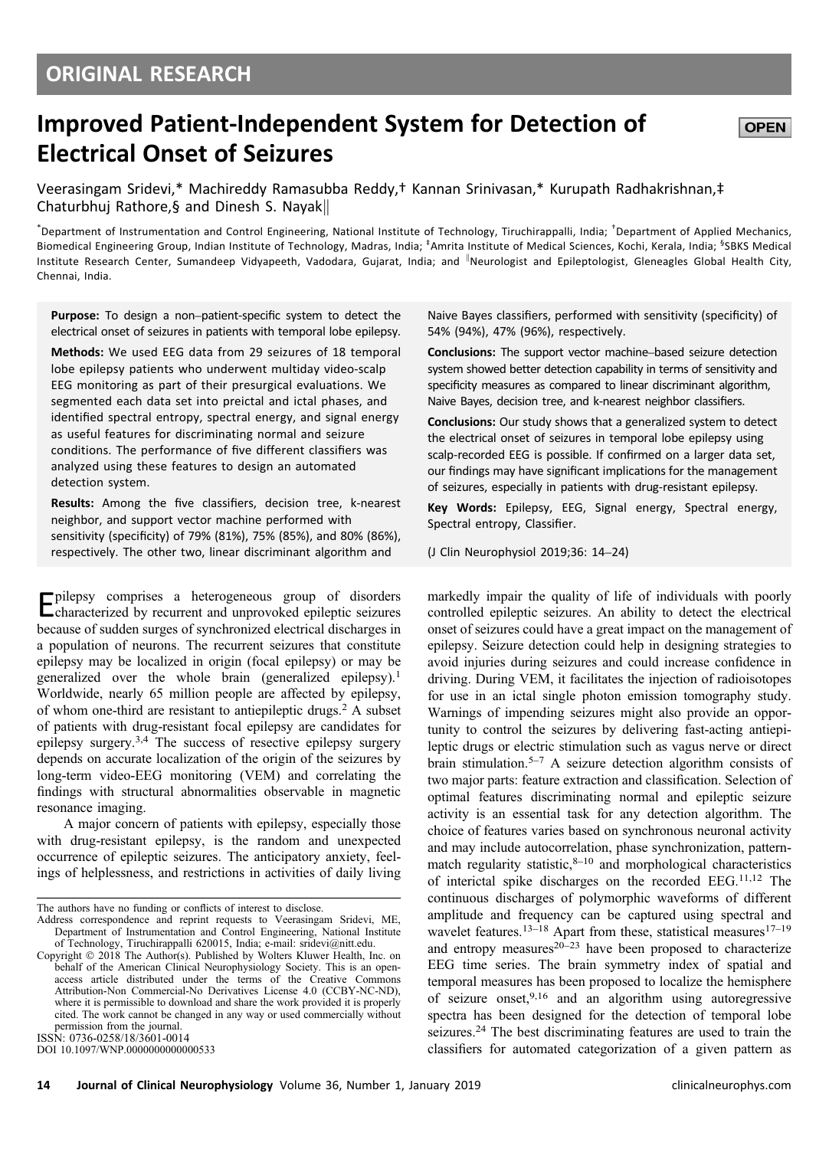# Improved Patient-Independent System for Detection of Electrical Onset of Seizures

Veerasingam Sridevi,\* Machireddy Ramasubba Reddy,† Kannan Srinivasan,\* Kurupath Radhakrishnan,‡ Chaturbhuj Rathore, § and Dinesh S. Nayak

\* Department of Instrumentation and Control Engineering, National Institute of Technology, Tiruchirappalli, India; † Department of Applied Mechanics, Biomedical Engineering Group, Indian Institute of Technology, Madras, India; <sup>‡</sup>Amrita Institute of Medical Sciences, Kochi, Kerala, India; <sup>§</sup>SBKS Medical Institute Research Center, Sumandeep Vidyapeeth, Vadodara, Gujarat, India; and <sup>I</sup>Neurologist and Epileptologist, Gleneagles Global Health City, Chennai, India.

Purpose: To design a non–patient-specific system to detect the electrical onset of seizures in patients with temporal lobe epilepsy.

Methods: We used EEG data from 29 seizures of 18 temporal lobe epilepsy patients who underwent multiday video-scalp EEG monitoring as part of their presurgical evaluations. We segmented each data set into preictal and ictal phases, and identified spectral entropy, spectral energy, and signal energy as useful features for discriminating normal and seizure conditions. The performance of five different classifiers was analyzed using these features to design an automated detection system.

Results: Among the five classifiers, decision tree, k-nearest neighbor, and support vector machine performed with sensitivity (specificity) of 79% (81%), 75% (85%), and 80% (86%), respectively. The other two, linear discriminant algorithm and

Epilepsy comprises a heterogeneous group of disorders characterized by recurrent and unprovoked epileptic seizures because of sudden surges of synchronized electrical discharges in a population of neurons. The recurrent seizures that constitute epilepsy may be localized in origin (focal epilepsy) or may be generalized over the whole brain (generalized epilepsy).<sup>1</sup> Worldwide, nearly 65 million people are affected by epilepsy, of whom one-third are resistant to antiepileptic drugs.2 A subset of patients with drug-resistant focal epilepsy are candidates for epilepsy surgery.3,4 The success of resective epilepsy surgery depends on accurate localization of the origin of the seizures by long-term video-EEG monitoring (VEM) and correlating the findings with structural abnormalities observable in magnetic resonance imaging.

A major concern of patients with epilepsy, especially those with drug-resistant epilepsy, is the random and unexpected occurrence of epileptic seizures. The anticipatory anxiety, feelings of helplessness, and restrictions in activities of daily living

Address correspondence and reprint requests to Veerasingam Sridevi, ME, Department of Instrumentation and Control Engineering, National Institute of Technology, Tiruchirappalli 620015, India; e-mail: sridevi@nitt.edu.

DOI 10.1097/WNP.0000000000000533

Naive Bayes classifiers, performed with sensitivity (specificity) of 54% (94%), 47% (96%), respectively.

Conclusions: The support vector machine–based seizure detection system showed better detection capability in terms of sensitivity and specificity measures as compared to linear discriminant algorithm, Naive Bayes, decision tree, and k-nearest neighbor classifiers.

Conclusions: Our study shows that a generalized system to detect the electrical onset of seizures in temporal lobe epilepsy using scalp-recorded EEG is possible. If confirmed on a larger data set, our findings may have significant implications for the management of seizures, especially in patients with drug-resistant epilepsy.

Key Words: Epilepsy, EEG, Signal energy, Spectral energy, Spectral entropy, Classifier.

(J Clin Neurophysiol 2019;36: 14–24)

markedly impair the quality of life of individuals with poorly controlled epileptic seizures. An ability to detect the electrical onset of seizures could have a great impact on the management of epilepsy. Seizure detection could help in designing strategies to avoid injuries during seizures and could increase confidence in driving. During VEM, it facilitates the injection of radioisotopes for use in an ictal single photon emission tomography study. Warnings of impending seizures might also provide an opportunity to control the seizures by delivering fast-acting antiepileptic drugs or electric stimulation such as vagus nerve or direct brain stimulation.5–<sup>7</sup> A seizure detection algorithm consists of two major parts: feature extraction and classification. Selection of optimal features discriminating normal and epileptic seizure activity is an essential task for any detection algorithm. The choice of features varies based on synchronous neuronal activity and may include autocorrelation, phase synchronization, patternmatch regularity statistic, $8-10$  and morphological characteristics of interictal spike discharges on the recorded EEG.11,12 The continuous discharges of polymorphic waveforms of different amplitude and frequency can be captured using spectral and wavelet features.<sup>13–18</sup> Apart from these, statistical measures<sup>17–19</sup> and entropy measures $20-23$  have been proposed to characterize EEG time series. The brain symmetry index of spatial and temporal measures has been proposed to localize the hemisphere of seizure onset,  $9,16$  and an algorithm using autoregressive spectra has been designed for the detection of temporal lobe seizures.<sup>24</sup> The best discriminating features are used to train the classifiers for automated categorization of a given pattern as

The authors have no funding or conflicts of interest to disclose.

Copyright  $©$  2018 The Author(s). Published by Wolters Kluwer Health, Inc. on behalf of the American Clinical Neurophysiology Society. This is an openaccess article distributed under the terms of the Creative Commons Attribution-Non Commercial-No Derivatives License 4.0 (CCBY-NC-ND), where it is permissible to download and share the work provided it is properly cited. The work cannot be changed in any way or used commercially without permission from the journal. ISSN: 0736-0258/18/3601-0014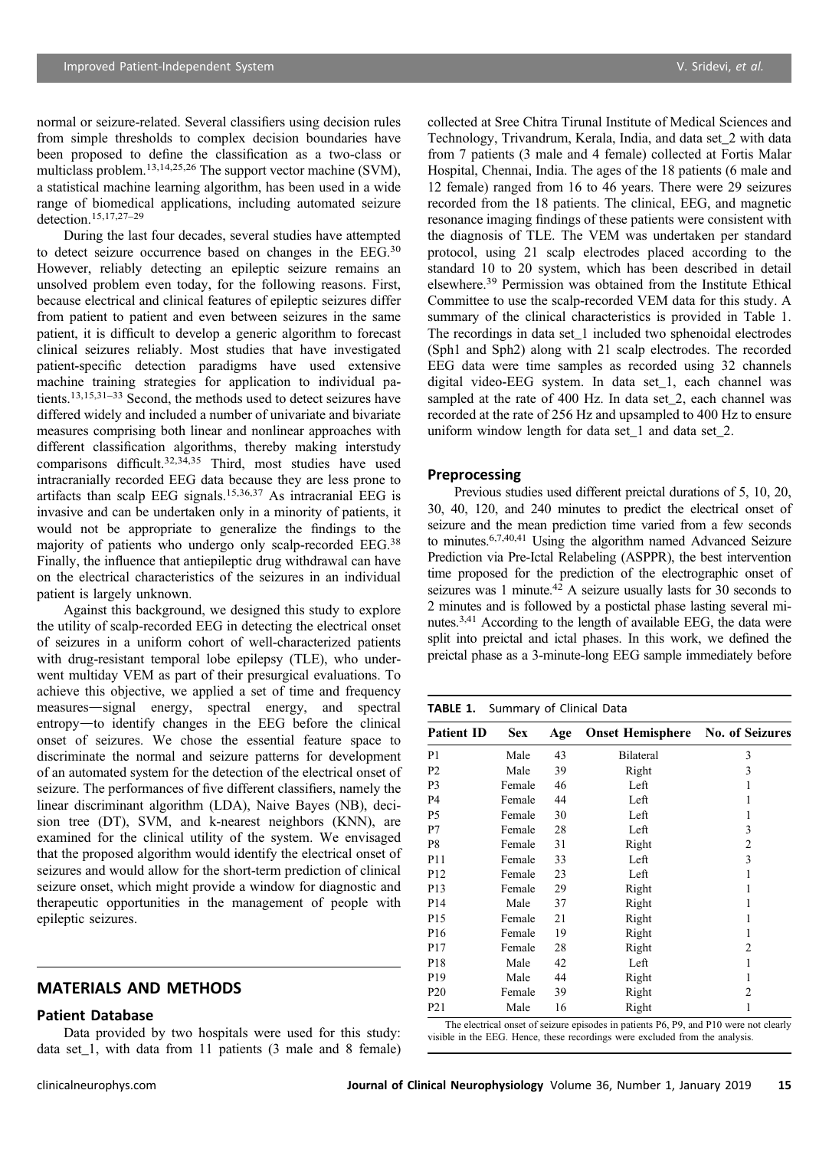normal or seizure-related. Several classifiers using decision rules from simple thresholds to complex decision boundaries have been proposed to define the classification as a two-class or multiclass problem.13,14,25,26 The support vector machine (SVM), a statistical machine learning algorithm, has been used in a wide range of biomedical applications, including automated seizure detection.15,17,27–<sup>29</sup>

During the last four decades, several studies have attempted to detect seizure occurrence based on changes in the EEG.30 However, reliably detecting an epileptic seizure remains an unsolved problem even today, for the following reasons. First, because electrical and clinical features of epileptic seizures differ from patient to patient and even between seizures in the same patient, it is difficult to develop a generic algorithm to forecast clinical seizures reliably. Most studies that have investigated patient-specific detection paradigms have used extensive machine training strategies for application to individual patients.13,15,31–<sup>33</sup> Second, the methods used to detect seizures have differed widely and included a number of univariate and bivariate measures comprising both linear and nonlinear approaches with different classification algorithms, thereby making interstudy comparisons difficult.<sup>32,34,35</sup> Third, most studies have used intracranially recorded EEG data because they are less prone to artifacts than scalp EEG signals.15,36,37 As intracranial EEG is invasive and can be undertaken only in a minority of patients, it would not be appropriate to generalize the findings to the majority of patients who undergo only scalp-recorded EEG.38 Finally, the influence that antiepileptic drug withdrawal can have on the electrical characteristics of the seizures in an individual patient is largely unknown.

Against this background, we designed this study to explore the utility of scalp-recorded EEG in detecting the electrical onset of seizures in a uniform cohort of well-characterized patients with drug-resistant temporal lobe epilepsy (TLE), who underwent multiday VEM as part of their presurgical evaluations. To achieve this objective, we applied a set of time and frequency measures—signal energy, spectral energy, and spectral entropy—to identify changes in the EEG before the clinical onset of seizures. We chose the essential feature space to discriminate the normal and seizure patterns for development of an automated system for the detection of the electrical onset of seizure. The performances of five different classifiers, namely the linear discriminant algorithm (LDA), Naive Bayes (NB), decision tree (DT), SVM, and k-nearest neighbors (KNN), are examined for the clinical utility of the system. We envisaged that the proposed algorithm would identify the electrical onset of seizures and would allow for the short-term prediction of clinical seizure onset, which might provide a window for diagnostic and therapeutic opportunities in the management of people with epileptic seizures.

## MATERIALS AND METHODS

#### Patient Database

Data provided by two hospitals were used for this study: data set\_1, with data from 11 patients (3 male and 8 female)

collected at Sree Chitra Tirunal Institute of Medical Sciences and Technology, Trivandrum, Kerala, India, and data set\_2 with data from 7 patients (3 male and 4 female) collected at Fortis Malar Hospital, Chennai, India. The ages of the 18 patients (6 male and 12 female) ranged from 16 to 46 years. There were 29 seizures recorded from the 18 patients. The clinical, EEG, and magnetic resonance imaging findings of these patients were consistent with the diagnosis of TLE. The VEM was undertaken per standard protocol, using 21 scalp electrodes placed according to the standard 10 to 20 system, which has been described in detail elsewhere.39 Permission was obtained from the Institute Ethical Committee to use the scalp-recorded VEM data for this study. A summary of the clinical characteristics is provided in Table 1. The recordings in data set\_1 included two sphenoidal electrodes (Sph1 and Sph2) along with 21 scalp electrodes. The recorded EEG data were time samples as recorded using 32 channels digital video-EEG system. In data set\_1, each channel was sampled at the rate of 400 Hz. In data set 2, each channel was recorded at the rate of 256 Hz and upsampled to 400 Hz to ensure uniform window length for data set\_1 and data set\_2.

## Preprocessing

Previous studies used different preictal durations of 5, 10, 20, 30, 40, 120, and 240 minutes to predict the electrical onset of seizure and the mean prediction time varied from a few seconds to minutes.6,7,40,41 Using the algorithm named Advanced Seizure Prediction via Pre-Ictal Relabeling (ASPPR), the best intervention time proposed for the prediction of the electrographic onset of seizures was 1 minute.<sup>42</sup> A seizure usually lasts for  $30$  seconds to 2 minutes and is followed by a postictal phase lasting several minutes.3,41 According to the length of available EEG, the data were split into preictal and ictal phases. In this work, we defined the preictal phase as a 3-minute-long EEG sample immediately before

#### TABLE 1. Summary of Clinical Data

| <b>Patient ID</b> | <b>Sex</b> | Age | <b>Onset Hemisphere</b> No. of Seizures |   |
|-------------------|------------|-----|-----------------------------------------|---|
| P <sub>1</sub>    | Male       | 43  | <b>Bilateral</b>                        | 3 |
| P <sub>2</sub>    | Male       | 39  | Right                                   | 3 |
| P <sub>3</sub>    | Female     | 46  | Left                                    |   |
| P <sub>4</sub>    | Female     | 44  | Left                                    |   |
| P5                | Female     | 30  | Left                                    |   |
| P7                | Female     | 28  | Left                                    | 3 |
| P8                | Female     | 31  | Right                                   | 2 |
| P11               | Female     | 33  | Left                                    | 3 |
| P <sub>12</sub>   | Female     | 23  | Left                                    |   |
| P <sub>13</sub>   | Female     | 29  | Right                                   |   |
| P <sub>14</sub>   | Male       | 37  | Right                                   |   |
| P <sub>15</sub>   | Female     | 21  | Right                                   |   |
| P <sub>16</sub>   | Female     | 19  | Right                                   | 1 |
| P <sub>17</sub>   | Female     | 28  | Right                                   | 2 |
| P <sub>18</sub>   | Male       | 42  | Left                                    |   |
| P <sub>19</sub>   | Male       | 44  | Right                                   |   |
| P <sub>20</sub>   | Female     | 39  | Right                                   | 2 |
| P <sub>21</sub>   | Male       | 16  | Right                                   | 1 |

The electrical onset of seizure episodes in patients P6, P9, and P10 were not clearly visible in the EEG. Hence, these recordings were excluded from the analysis.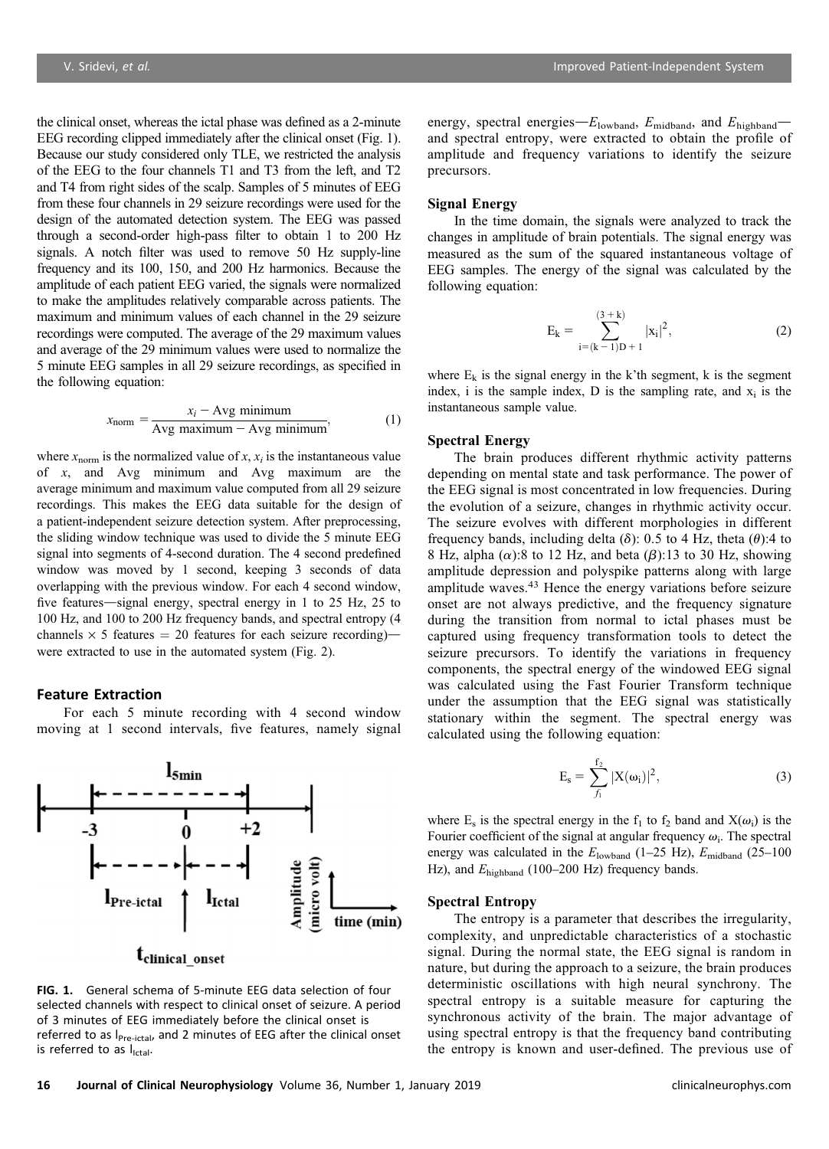the clinical onset, whereas the ictal phase was defined as a 2-minute EEG recording clipped immediately after the clinical onset (Fig. 1). Because our study considered only TLE, we restricted the analysis of the EEG to the four channels T1 and T3 from the left, and T2 and T4 from right sides of the scalp. Samples of 5 minutes of EEG from these four channels in 29 seizure recordings were used for the design of the automated detection system. The EEG was passed through a second-order high-pass filter to obtain 1 to 200 Hz signals. A notch filter was used to remove 50 Hz supply-line frequency and its 100, 150, and 200 Hz harmonics. Because the amplitude of each patient EEG varied, the signals were normalized to make the amplitudes relatively comparable across patients. The maximum and minimum values of each channel in the 29 seizure recordings were computed. The average of the 29 maximum values and average of the 29 minimum values were used to normalize the 5 minute EEG samples in all 29 seizure recordings, as specified in the following equation:

$$
x_{\text{norm}} = \frac{x_i - \text{Avg minimum}}{\text{Avg maximum} - \text{Avg minimum}},\tag{1}
$$

where  $x_{\text{norm}}$  is the normalized value of x,  $x_i$  is the instantaneous value of x, and Avg minimum and Avg maximum are the average minimum and maximum value computed from all 29 seizure recordings. This makes the EEG data suitable for the design of a patient-independent seizure detection system. After preprocessing, the sliding window technique was used to divide the 5 minute EEG signal into segments of 4-second duration. The 4 second predefined window was moved by 1 second, keeping 3 seconds of data overlapping with the previous window. For each 4 second window, five features—signal energy, spectral energy in 1 to 25 Hz, 25 to 100 Hz, and 100 to 200 Hz frequency bands, and spectral entropy (4 channels  $\times$  5 features = 20 features for each seizure recording) were extracted to use in the automated system (Fig. 2).

#### Feature Extraction

For each 5 minute recording with 4 second window moving at 1 second intervals, five features, namely signal



FIG. 1. General schema of 5-minute EEG data selection of four selected channels with respect to clinical onset of seizure. A period of 3 minutes of EEG immediately before the clinical onset is referred to as I<sub>Pre-ictal</sub>, and 2 minutes of EEG after the clinical onset is referred to as lictal.

energy, spectral energies- $E_{\text{lowband}}$ ,  $E_{\text{midband}}$ , and  $E_{\text{highband}}$ and spectral entropy, were extracted to obtain the profile of amplitude and frequency variations to identify the seizure precursors.

#### Signal Energy

In the time domain, the signals were analyzed to track the changes in amplitude of brain potentials. The signal energy was measured as the sum of the squared instantaneous voltage of EEG samples. The energy of the signal was calculated by the following equation:

$$
E_k = \sum_{i=(k-1)D+1}^{(3+k)} |x_i|^2,
$$
 (2)

where  $E_k$  is the signal energy in the k'th segment, k is the segment index, i is the sample index,  $D$  is the sampling rate, and  $x_i$  is the instantaneous sample value.

## Spectral Energy

The brain produces different rhythmic activity patterns depending on mental state and task performance. The power of the EEG signal is most concentrated in low frequencies. During the evolution of a seizure, changes in rhythmic activity occur. The seizure evolves with different morphologies in different frequency bands, including delta ( $\delta$ ): 0.5 to 4 Hz, theta ( $\theta$ ):4 to 8 Hz, alpha  $(\alpha)$ :8 to 12 Hz, and beta ( $\beta$ ):13 to 30 Hz, showing amplitude depression and polyspike patterns along with large amplitude waves.<sup>43</sup> Hence the energy variations before seizure onset are not always predictive, and the frequency signature during the transition from normal to ictal phases must be captured using frequency transformation tools to detect the seizure precursors. To identify the variations in frequency components, the spectral energy of the windowed EEG signal was calculated using the Fast Fourier Transform technique under the assumption that the EEG signal was statistically stationary within the segment. The spectral energy was calculated using the following equation:

$$
E_{s} = \sum_{f_{1}}^{f_{2}} |X(\omega_{i})|^{2},
$$
 (3)

where  $E_s$  is the spectral energy in the  $f_1$  to  $f_2$  band and  $X(\omega_i)$  is the Fourier coefficient of the signal at angular frequency  $\omega_i$ . The spectral energy was calculated in the  $E_{\text{lowband}}$  (1–25 Hz),  $E_{\text{midband}}$  (25–100 Hz), and  $E<sub>hichband</sub>$  (100–200 Hz) frequency bands.

## Spectral Entropy

The entropy is a parameter that describes the irregularity, complexity, and unpredictable characteristics of a stochastic signal. During the normal state, the EEG signal is random in nature, but during the approach to a seizure, the brain produces deterministic oscillations with high neural synchrony. The spectral entropy is a suitable measure for capturing the synchronous activity of the brain. The major advantage of using spectral entropy is that the frequency band contributing the entropy is known and user-defined. The previous use of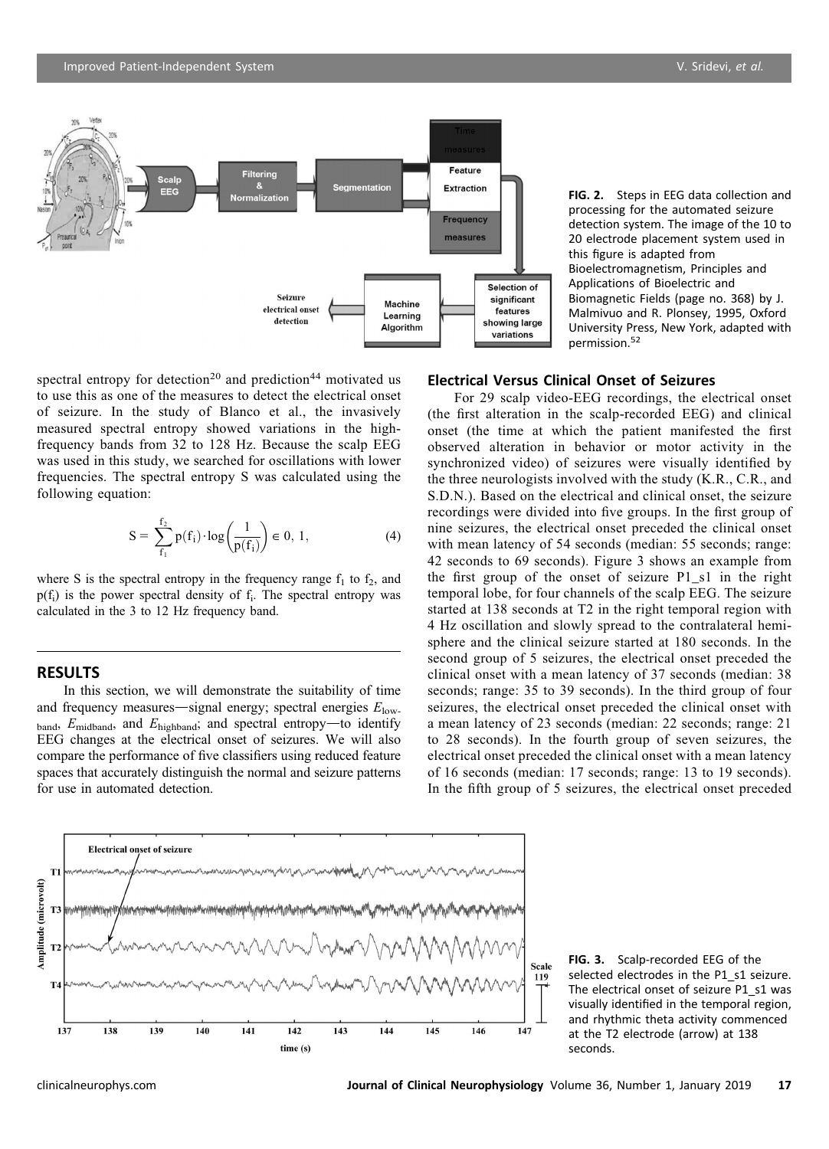138

139

140

141

142

time (s)

143

144

145

146

147

Electrical onset of seizure

spectral entropy for detection<sup>20</sup> and prediction<sup>44</sup> motivated us to use this as one of the measures to detect the electrical onset of seizure. In the study of Blanco et al., the invasively measured spectral entropy showed variations in the highfrequency bands from 32 to 128 Hz. Because the scalp EEG was used in this study, we searched for oscillations with lower frequencies. The spectral entropy S was calculated using the following equation:

$$
S = \sum_{f_1}^{f_2} p(f_1) \cdot \log \left( \frac{1}{p(f_1)} \right) \in 0, 1,
$$
 (4)

where S is the spectral entropy in the frequency range  $f_1$  to  $f_2$ , and  $p(f_i)$  is the power spectral density of  $f_i$ . The spectral entropy was calculated in the 3 to 12 Hz frequency band.

# **RESULTS**

Amplitude (microvolt)

137

In this section, we will demonstrate the suitability of time and frequency measures—signal energy; spectral energies  $E_{\text{low}}$ band,  $E_{\text{midband}}$ , and  $E_{\text{highband}}$ ; and spectral entropy-to identify EEG changes at the electrical onset of seizures. We will also compare the performance of five classifiers using reduced feature spaces that accurately distinguish the normal and seizure patterns for use in automated detection.

## Electrical Versus Clinical Onset of Seizures

Feature

For 29 scalp video-EEG recordings, the electrical onset (the first alteration in the scalp-recorded EEG) and clinical onset (the time at which the patient manifested the first observed alteration in behavior or motor activity in the synchronized video) of seizures were visually identified by the three neurologists involved with the study (K.R., C.R., and S.D.N.). Based on the electrical and clinical onset, the seizure recordings were divided into five groups. In the first group of nine seizures, the electrical onset preceded the clinical onset with mean latency of 54 seconds (median: 55 seconds; range: 42 seconds to 69 seconds). Figure 3 shows an example from the first group of the onset of seizure P1\_s1 in the right temporal lobe, for four channels of the scalp EEG. The seizure started at 138 seconds at T2 in the right temporal region with 4 Hz oscillation and slowly spread to the contralateral hemisphere and the clinical seizure started at 180 seconds. In the second group of 5 seizures, the electrical onset preceded the clinical onset with a mean latency of 37 seconds (median: 38 seconds; range: 35 to 39 seconds). In the third group of four seizures, the electrical onset preceded the clinical onset with a mean latency of 23 seconds (median: 22 seconds; range: 21 to 28 seconds). In the fourth group of seven seizures, the electrical onset preceded the clinical onset with a mean latency of 16 seconds (median: 17 seconds; range: 13 to 19 seconds). In the fifth group of 5 seizures, the electrical onset preceded

FIG. 3. Scalp-recorded EEG of the selected electrodes in the P1\_s1 seizure. The electrical onset of seizure P1\_s1 was visually identified in the temporal region, and rhythmic theta activity commenced at the T2 electrode (arrow) at 138 seconds.



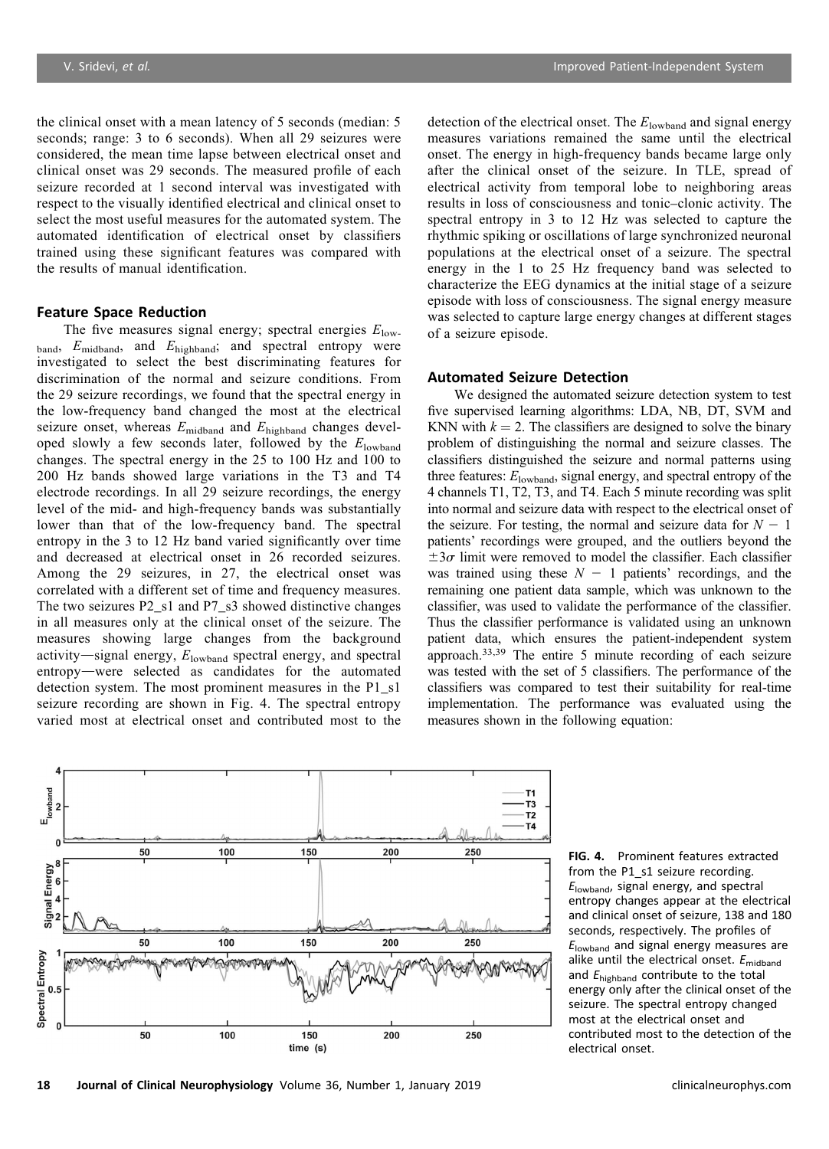the clinical onset with a mean latency of 5 seconds (median: 5 seconds; range: 3 to 6 seconds). When all 29 seizures were considered, the mean time lapse between electrical onset and clinical onset was 29 seconds. The measured profile of each seizure recorded at 1 second interval was investigated with respect to the visually identified electrical and clinical onset to select the most useful measures for the automated system. The automated identification of electrical onset by classifiers trained using these significant features was compared with the results of manual identification.

### Feature Space Reduction

The five measures signal energy; spectral energies  $E_{\text{low}}$ band, Emidband, and Ehighband; and spectral entropy were investigated to select the best discriminating features for discrimination of the normal and seizure conditions. From the 29 seizure recordings, we found that the spectral energy in the low-frequency band changed the most at the electrical seizure onset, whereas  $E_{\text{midband}}$  and  $E_{\text{highband}}$  changes developed slowly a few seconds later, followed by the  $E_{\text{lowband}}$ changes. The spectral energy in the 25 to 100 Hz and 100 to 200 Hz bands showed large variations in the T3 and T4 electrode recordings. In all 29 seizure recordings, the energy level of the mid- and high-frequency bands was substantially lower than that of the low-frequency band. The spectral entropy in the 3 to 12 Hz band varied significantly over time and decreased at electrical onset in 26 recorded seizures. Among the 29 seizures, in 27, the electrical onset was correlated with a different set of time and frequency measures. The two seizures P2\_s1 and P7\_s3 showed distinctive changes in all measures only at the clinical onset of the seizure. The measures showing large changes from the background activity-signal energy,  $E_{\text{lowband}}$  spectral energy, and spectral entropy—were selected as candidates for the automated detection system. The most prominent measures in the P1\_s1 seizure recording are shown in Fig. 4. The spectral entropy varied most at electrical onset and contributed most to the detection of the electrical onset. The  $E<sub>lowband</sub>$  and signal energy measures variations remained the same until the electrical onset. The energy in high-frequency bands became large only after the clinical onset of the seizure. In TLE, spread of electrical activity from temporal lobe to neighboring areas results in loss of consciousness and tonic–clonic activity. The spectral entropy in 3 to 12 Hz was selected to capture the rhythmic spiking or oscillations of large synchronized neuronal populations at the electrical onset of a seizure. The spectral energy in the 1 to 25 Hz frequency band was selected to characterize the EEG dynamics at the initial stage of a seizure episode with loss of consciousness. The signal energy measure was selected to capture large energy changes at different stages of a seizure episode.

## Automated Seizure Detection

We designed the automated seizure detection system to test five supervised learning algorithms: LDA, NB, DT, SVM and KNN with  $k = 2$ . The classifiers are designed to solve the binary problem of distinguishing the normal and seizure classes. The classifiers distinguished the seizure and normal patterns using three features:  $E_{\text{lowband}}$ , signal energy, and spectral entropy of the 4 channels T1, T2, T3, and T4. Each 5 minute recording was split into normal and seizure data with respect to the electrical onset of the seizure. For testing, the normal and seizure data for  $N - 1$ patients' recordings were grouped, and the outliers beyond the  $\pm 3\sigma$  limit were removed to model the classifier. Each classifier was trained using these  $N - 1$  patients' recordings, and the remaining one patient data sample, which was unknown to the classifier, was used to validate the performance of the classifier. Thus the classifier performance is validated using an unknown patient data, which ensures the patient-independent system approach. $33,39$  The entire 5 minute recording of each seizure was tested with the set of 5 classifiers. The performance of the classifiers was compared to test their suitability for real-time implementation. The performance was evaluated using the measures shown in the following equation:



FIG. 4. Prominent features extracted from the P1\_s1 seizure recording.  $E<sub>lowband</sub>$ , signal energy, and spectral entropy changes appear at the electrical and clinical onset of seizure, 138 and 180 seconds, respectively. The profiles of  $E<sub>lowband</sub>$  and signal energy measures are alike until the electrical onset.  $E_{\text{midband}}$ and  $E_{\text{highband}}$  contribute to the total energy only after the clinical onset of the seizure. The spectral entropy changed most at the electrical onset and contributed most to the detection of the electrical onset.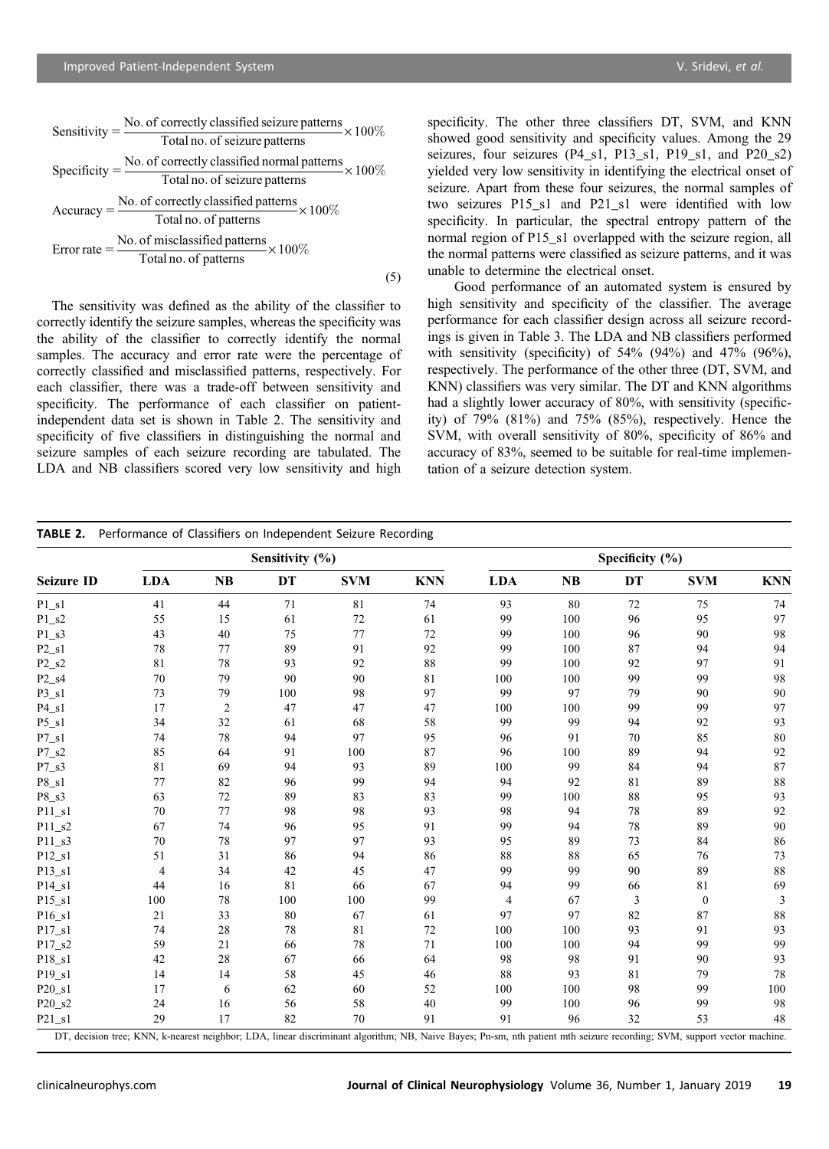| Sensitivity = $\frac{\text{No. of correctly classified seizure patterns}}{\text{Total no. of seizure patterns}} \times 100\%$ |
|-------------------------------------------------------------------------------------------------------------------------------|
|                                                                                                                               |
| Specificity = $\frac{\text{No. of correctly classified normal patterns}}{\text{Total no. of seizure patterns}} \times 100\%$  |
|                                                                                                                               |
| Accuracy = $\frac{\text{No. of correctly classified patterns}}{\text{Total no. of patterns}} \times 100\%$                    |
|                                                                                                                               |
| Error rate = $\frac{\text{No. of misclassified patterns}}{\text{Total no. of patterns}} \times 100\%$                         |
|                                                                                                                               |
|                                                                                                                               |

The sensitivity was defined as the ability of the classifier to correctly identify the seizure samples, whereas the specificity was the ability of the classifier to correctly identify the normal samples. The accuracy and error rate were the percentage of correctly classified and misclassified patterns, respectively. For each classifier, there was a trade-off between sensitivity and specificity. The performance of each classifier on patientindependent data set is shown in Table 2. The sensitivity and specificity of five classifiers in distinguishing the normal and seizure samples of each seizure recording are tabulated. The LDA and NB classifiers scored very low sensitivity and high

specificity. The other three classifiers DT, SVM, and KNN showed good sensitivity and specificity values. Among the 29 seizures, four seizures (P4\_s1, P13\_s1, P19\_s1, and P20\_s2) yielded very low sensitivity in identifying the electrical onset of seizure. Apart from these four seizures, the normal samples of two seizures P15\_s1 and P21\_s1 were identified with low specificity. In particular, the spectral entropy pattern of the normal region of P15\_s1 overlapped with the seizure region, all the normal patterns were classified as seizure patterns, and it was unable to determine the electrical onset.

Good performance of an automated system is ensured by high sensitivity and specificity of the classifier. The average performance for each classifier design across all seizure recordings is given in Table 3. The LDA and NB classifiers performed with sensitivity (specificity) of 54% (94%) and 47% (96%), respectively. The performance of the other three (DT, SVM, and KNN) classifiers was very similar. The DT and KNN algorithms had a slightly lower accuracy of 80%, with sensitivity (specificity) of 79% (81%) and 75% (85%), respectively. Hence the SVM, with overall sensitivity of 80%, specificity of 86% and accuracy of 83%, seemed to be suitable for real-time implementation of a seizure detection system.

|                   |                |           | Sensitivity (%) |            |            | Specificity $(\% )$ |           |    |                  |            |
|-------------------|----------------|-----------|-----------------|------------|------------|---------------------|-----------|----|------------------|------------|
| <b>Seizure ID</b> | <b>LDA</b>     | <b>NB</b> | DT              | <b>SVM</b> | <b>KNN</b> | <b>LDA</b>          | <b>NB</b> | DT | <b>SVM</b>       | <b>KNN</b> |
| $P1_S1$           | 41             | 44        | 71              | 81         | 74         | 93                  | 80        | 72 | 75               | 74         |
| $P1_S2$           | 55             | 15        | 61              | 72         | 61         | 99                  | 100       | 96 | 95               | 97         |
| $P1_S3$           | 43             | 40        | 75              | 77         | 72         | 99                  | 100       | 96 | 90               | 98         |
| $P2_s1$           | 78             | 77        | 89              | 91         | 92         | 99                  | 100       | 87 | 94               | 94         |
| $P2_S2$           | 81             | 78        | 93              | 92         | 88         | 99                  | 100       | 92 | 97               | 91         |
| $P2_S4$           | 70             | 79        | 90              | 90         | 81         | 100                 | 100       | 99 | 99               | 98         |
| $P3_s1$           | 73             | 79        | 100             | 98         | 97         | 99                  | 97        | 79 | 90               | 90         |
| $P4_s1$           | 17             | 2         | 47              | 47         | 47         | 100                 | 100       | 99 | 99               | 97         |
| $P5_S1$           | 34             | 32        | 61              | 68         | 58         | 99                  | 99        | 94 | 92               | 93         |
| $P7_S1$           | 74             | 78        | 94              | 97         | 95         | 96                  | 91        | 70 | 85               | 80         |
| $P7_S2$           | 85             | 64        | 91              | 100        | 87         | 96                  | 100       | 89 | 94               | 92         |
| $P7_S3$           | 81             | 69        | 94              | 93         | 89         | 100                 | 99        | 84 | 94               | 87         |
| $P8_S1$           | 77             | 82        | 96              | 99         | 94         | 94                  | 92        | 81 | 89               | 88         |
| $P8_S3$           | 63             | 72        | 89              | 83         | 83         | 99                  | 100       | 88 | 95               | 93         |
| $P11_s1$          | 70             | 77        | 98              | 98         | 93         | 98                  | 94        | 78 | 89               | 92         |
| $P11_S2$          | 67             | 74        | 96              | 95         | 91         | 99                  | 94        | 78 | 89               | 90         |
| $P11_S3$          | 70             | 78        | 97              | 97         | 93         | 95                  | 89        | 73 | 84               | 86         |
| $P12_s1$          | 51             | 31        | 86              | 94         | 86         | 88                  | 88        | 65 | 76               | 73         |
| $P13_s1$          | $\overline{4}$ | 34        | 42              | 45         | 47         | 99                  | 99        | 90 | 89               | 88         |
| $P14_S1$          | 44             | 16        | 81              | 66         | 67         | 94                  | 99        | 66 | 81               | 69         |
| $P15_S1$          | 100            | 78        | 100             | 100        | 99         | $\overline{4}$      | 67        | 3  | $\boldsymbol{0}$ | 3          |
| $P16_S1$          | 21             | 33        | 80              | 67         | 61         | 97                  | 97        | 82 | 87               | 88         |
| $P17_s1$          | 74             | 28        | 78              | 81         | 72         | 100                 | 100       | 93 | 91               | 93         |
| $P17_S2$          | 59             | 21        | 66              | 78         | 71         | 100                 | 100       | 94 | 99               | 99         |
| $P18_S1$          | 42             | 28        | 67              | 66         | 64         | 98                  | 98        | 91 | 90               | 93         |
| $P19_S1$          | 14             | 14        | 58              | 45         | 46         | 88                  | 93        | 81 | 79               | 78         |
| $P20_s1$          | 17             | 6         | 62              | 60         | 52         | 100                 | 100       | 98 | 99               | 100        |
| P20_s2            | 24             | 16        | 56              | 58         | 40         | 99                  | 100       | 96 | 99               | 98         |
| $P21_s1$          | 29             | 17        | 82              | 70         | 91         | 91                  | 96        | 32 | 53               | 48         |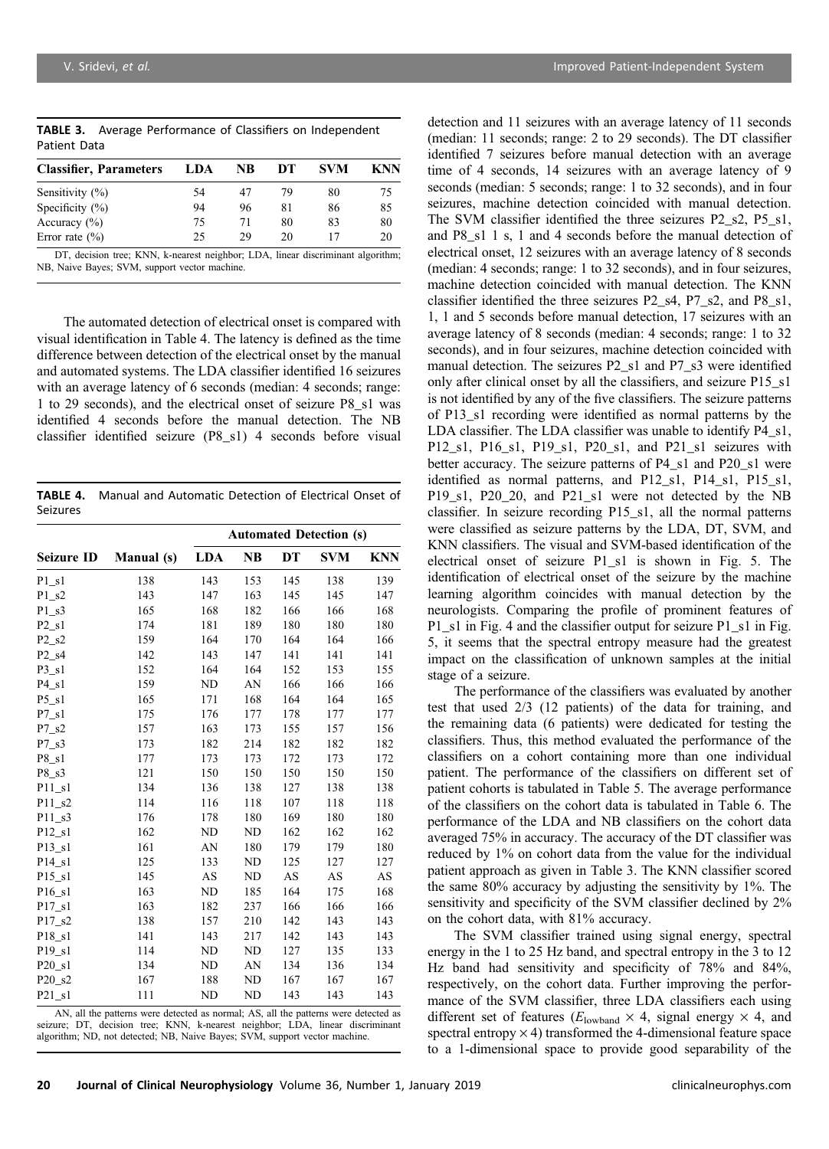|              | <b>TABLE 3.</b> Average Performance of Classifiers on Independent |
|--------------|-------------------------------------------------------------------|
| Patient Data |                                                                   |

| LDA | NB | DТ | <b>SVM</b> | KNN |
|-----|----|----|------------|-----|
| 54  | 47 | 79 | 80         | 75  |
| 94  | 96 | 81 | 86         | 85  |
| 75  | 71 | 80 | 83         | 80  |
| 25  | 29 | 20 |            | 20  |
|     |    |    |            |     |

DT, decision tree; KNN, k-nearest neighbor; LDA, linear discriminant algorithm; NB, Naive Bayes; SVM, support vector machine.

The automated detection of electrical onset is compared with visual identification in Table 4. The latency is defined as the time difference between detection of the electrical onset by the manual and automated systems. The LDA classifier identified 16 seizures with an average latency of 6 seconds (median: 4 seconds; range: 1 to 29 seconds), and the electrical onset of seizure P8\_s1 was identified 4 seconds before the manual detection. The NB classifier identified seizure (P8\_s1) 4 seconds before visual

TABLE 4. Manual and Automatic Detection of Electrical Onset of Seizures

|                               |            | <b>Automated Detection (s)</b> |           |     |            |            |  |  |  |
|-------------------------------|------------|--------------------------------|-----------|-----|------------|------------|--|--|--|
| <b>Seizure ID</b>             | Manual (s) | <b>LDA</b>                     | NB        | DT  | <b>SVM</b> | <b>KNN</b> |  |  |  |
| P1 s1                         | 138        | 143                            | 153       | 145 | 138        | 139        |  |  |  |
| $P1_S2$                       | 143        | 147                            | 163       | 145 | 145        | 147        |  |  |  |
| $P1_S3$                       | 165        | 168                            | 182       | 166 | 166        | 168        |  |  |  |
| P2s1                          | 174        | 181                            | 189       | 180 | 180        | 180        |  |  |  |
| $P2_S2$                       | 159        | 164                            | 170       | 164 | 164        | 166        |  |  |  |
| P <sub>2</sub> s <sub>4</sub> | 142        | 143                            | 147       | 141 | 141        | 141        |  |  |  |
| $P3_s1$                       | 152        | 164                            | 164       | 152 | 153        | 155        |  |  |  |
| $P4_s1$                       | 159        | ND                             | AN        | 166 | 166        | 166        |  |  |  |
| $P5_S1$                       | 165        | 171                            | 168       | 164 | 164        | 165        |  |  |  |
| P7 s1                         | 175        | 176                            | 177       | 178 | 177        | 177        |  |  |  |
| $P7_S2$                       | 157        | 163                            | 173       | 155 | 157        | 156        |  |  |  |
| $P7_S3$                       | 173        | 182                            | 214       | 182 | 182        | 182        |  |  |  |
| $P8_S1$                       | 177        | 173                            | 173       | 172 | 173        | 172        |  |  |  |
| $P8_S3$                       | 121        | 150                            | 150       | 150 | 150        | 150        |  |  |  |
| P11 s1                        | 134        | 136                            | 138       | 127 | 138        | 138        |  |  |  |
| $P11_S2$                      | 114        | 116                            | 118       | 107 | 118        | 118        |  |  |  |
| P11 s3                        | 176        | 178                            | 180       | 169 | 180        | 180        |  |  |  |
| $P12_s1$                      | 162        | ND                             | ND        | 162 | 162        | 162        |  |  |  |
| P13 s1                        | 161        | AN                             | 180       | 179 | 179        | 180        |  |  |  |
| P14 s1                        | 125        | 133                            | ND        | 125 | 127        | 127        |  |  |  |
| $P15_S1$                      | 145        | AS                             | ND        | AS  | AS         | AS         |  |  |  |
| P16 s1                        | 163        | ND                             | 185       | 164 | 175        | 168        |  |  |  |
| P17 s1                        | 163        | 182                            | 237       | 166 | 166        | 166        |  |  |  |
| P17 s2                        | 138        | 157                            | 210       | 142 | 143        | 143        |  |  |  |
| $P18_S1$                      | 141        | 143                            | 217       | 142 | 143        | 143        |  |  |  |
| P19 s1                        | 114        | ND                             | <b>ND</b> | 127 | 135        | 133        |  |  |  |
| $P20_s1$                      | 134        | ND                             | AN        | 134 | 136        | 134        |  |  |  |
| $P20$ <sub>_S</sub> 2         | 167        | 188                            | ND        | 167 | 167        | 167        |  |  |  |
| P21 s1                        | 111        | ND                             | <b>ND</b> | 143 | 143        | 143        |  |  |  |

AN, all the patterns were detected as normal; AS, all the patterns were detected as seizure; DT, decision tree; KNN, k-nearest neighbor; LDA, linear discriminant algorithm; ND, not detected; NB, Naive Bayes; SVM, support vector machine.

detection and 11 seizures with an average latency of 11 seconds (median: 11 seconds; range: 2 to 29 seconds). The DT classifier identified 7 seizures before manual detection with an average time of 4 seconds, 14 seizures with an average latency of 9 seconds (median: 5 seconds; range: 1 to 32 seconds), and in four seizures, machine detection coincided with manual detection. The SVM classifier identified the three seizures P2\_s2, P5\_s1, and P8\_s1 1 s, 1 and 4 seconds before the manual detection of electrical onset, 12 seizures with an average latency of 8 seconds (median: 4 seconds; range: 1 to 32 seconds), and in four seizures, machine detection coincided with manual detection. The KNN classifier identified the three seizures P2\_s4, P7\_s2, and P8\_s1, 1, 1 and 5 seconds before manual detection, 17 seizures with an average latency of 8 seconds (median: 4 seconds; range: 1 to 32 seconds), and in four seizures, machine detection coincided with manual detection. The seizures P2\_s1 and P7\_s3 were identified only after clinical onset by all the classifiers, and seizure P15\_s1 is not identified by any of the five classifiers. The seizure patterns of P13\_s1 recording were identified as normal patterns by the LDA classifier. The LDA classifier was unable to identify P4\_s1, P12\_s1, P16\_s1, P19\_s1, P20\_s1, and P21\_s1 seizures with better accuracy. The seizure patterns of P4\_s1 and P20\_s1 were identified as normal patterns, and P12\_s1, P14\_s1, P15\_s1, P19\_s1, P20\_20, and P21\_s1 were not detected by the NB classifier. In seizure recording P15\_s1, all the normal patterns were classified as seizure patterns by the LDA, DT, SVM, and KNN classifiers. The visual and SVM-based identification of the electrical onset of seizure P1\_s1 is shown in Fig. 5. The identification of electrical onset of the seizure by the machine learning algorithm coincides with manual detection by the neurologists. Comparing the profile of prominent features of P1\_s1 in Fig. 4 and the classifier output for seizure P1\_s1 in Fig. 5, it seems that the spectral entropy measure had the greatest impact on the classification of unknown samples at the initial stage of a seizure.

The performance of the classifiers was evaluated by another test that used 2/3 (12 patients) of the data for training, and the remaining data (6 patients) were dedicated for testing the classifiers. Thus, this method evaluated the performance of the classifiers on a cohort containing more than one individual patient. The performance of the classifiers on different set of patient cohorts is tabulated in Table 5. The average performance of the classifiers on the cohort data is tabulated in Table 6. The performance of the LDA and NB classifiers on the cohort data averaged 75% in accuracy. The accuracy of the DT classifier was reduced by 1% on cohort data from the value for the individual patient approach as given in Table 3. The KNN classifier scored the same 80% accuracy by adjusting the sensitivity by 1%. The sensitivity and specificity of the SVM classifier declined by 2% on the cohort data, with 81% accuracy.

The SVM classifier trained using signal energy, spectral energy in the 1 to 25 Hz band, and spectral entropy in the 3 to 12 Hz band had sensitivity and specificity of 78% and 84%, respectively, on the cohort data. Further improving the performance of the SVM classifier, three LDA classifiers each using different set of features ( $E_{\text{lowband}} \times 4$ , signal energy  $\times 4$ , and spectral entropy  $\times$  4) transformed the 4-dimensional feature space to a 1-dimensional space to provide good separability of the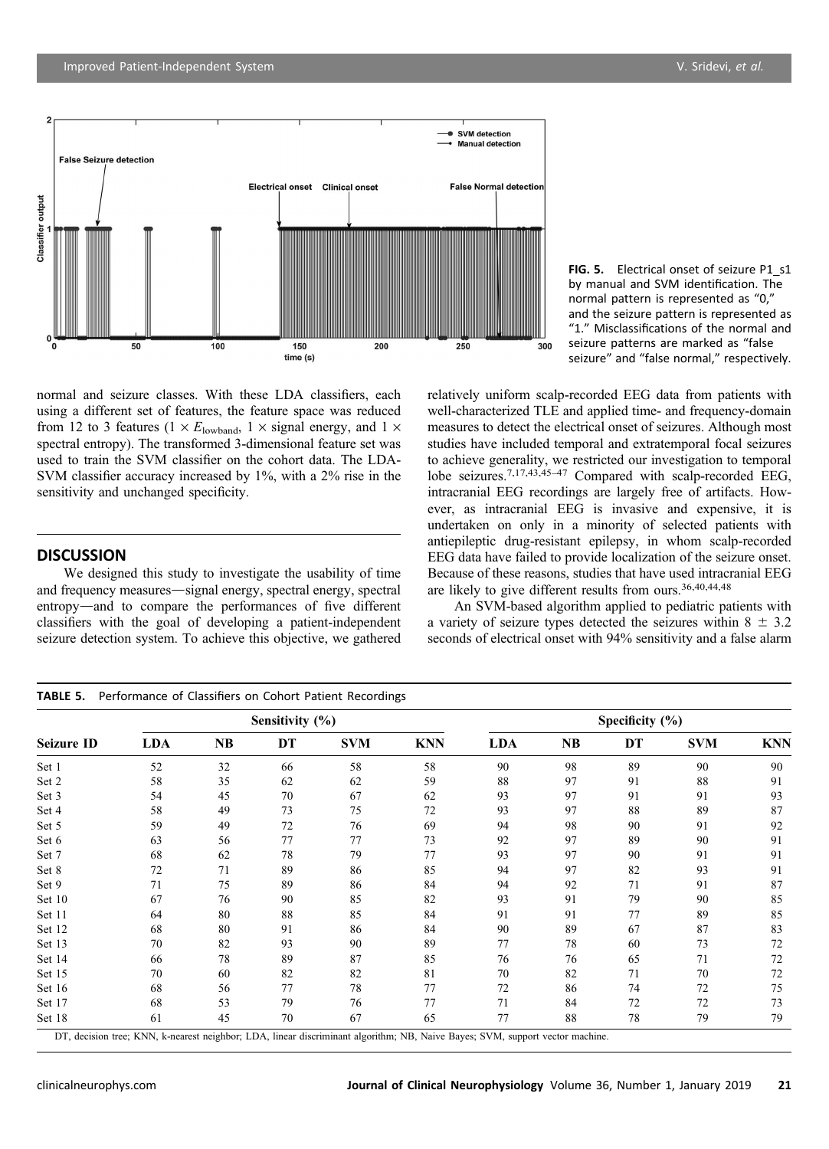**False Seizure detection** 

 $50$ 

Classifier output



250

300



normal and seizure classes. With these LDA classifiers, each using a different set of features, the feature space was reduced from 12 to 3 features ( $1 \times E_{\text{lowband}}$ ,  $1 \times \text{signal energy}$ , and  $1 \times$ spectral entropy). The transformed 3-dimensional feature set was used to train the SVM classifier on the cohort data. The LDA-SVM classifier accuracy increased by 1%, with a 2% rise in the sensitivity and unchanged specificity.

 $10<sub>0</sub>$ 

150

time (s)

200

# **DISCUSSION**

We designed this study to investigate the usability of time and frequency measures—signal energy, spectral energy, spectral entropy—and to compare the performances of five different classifiers with the goal of developing a patient-independent seizure detection system. To achieve this objective, we gathered relatively uniform scalp-recorded EEG data from patients with well-characterized TLE and applied time- and frequency-domain measures to detect the electrical onset of seizures. Although most studies have included temporal and extratemporal focal seizures to achieve generality, we restricted our investigation to temporal lobe seizures.7,17,43,45–<sup>47</sup> Compared with scalp-recorded EEG, intracranial EEG recordings are largely free of artifacts. However, as intracranial EEG is invasive and expensive, it is undertaken on only in a minority of selected patients with antiepileptic drug-resistant epilepsy, in whom scalp-recorded EEG data have failed to provide localization of the seizure onset. Because of these reasons, studies that have used intracranial EEG are likely to give different results from ours.36,40,44,48

An SVM-based algorithm applied to pediatric patients with a variety of seizure types detected the seizures within  $8 \pm 3.2$ seconds of electrical onset with 94% sensitivity and a false alarm

|                   |            |           | Sensitivity (%) |            | Specificity $(\% )$ |            |           |    |            |            |
|-------------------|------------|-----------|-----------------|------------|---------------------|------------|-----------|----|------------|------------|
| <b>Seizure ID</b> | <b>LDA</b> | <b>NB</b> | DT              | <b>SVM</b> | <b>KNN</b>          | <b>LDA</b> | <b>NB</b> | DT | <b>SVM</b> | <b>KNN</b> |
| Set 1             | 52         | 32        | 66              | 58         | 58                  | 90         | 98        | 89 | 90         | 90         |
| Set 2             | 58         | 35        | 62              | 62         | 59                  | 88         | 97        | 91 | 88         | 91         |
| Set 3             | 54         | 45        | 70              | 67         | 62                  | 93         | 97        | 91 | 91         | 93         |
| Set 4             | 58         | 49        | 73              | 75         | 72                  | 93         | 97        | 88 | 89         | 87         |
| Set 5             | 59         | 49        | 72              | 76         | 69                  | 94         | 98        | 90 | 91         | 92         |
| Set 6             | 63         | 56        | 77              | 77         | 73                  | 92         | 97        | 89 | 90         | 91         |
| Set 7             | 68         | 62        | 78              | 79         | 77                  | 93         | 97        | 90 | 91         | 91         |
| Set 8             | 72         | 71        | 89              | 86         | 85                  | 94         | 97        | 82 | 93         | 91         |
| Set 9             | 71         | 75        | 89              | 86         | 84                  | 94         | 92        | 71 | 91         | 87         |
| Set 10            | 67         | 76        | 90              | 85         | 82                  | 93         | 91        | 79 | 90         | 85         |
| Set 11            | 64         | 80        | 88              | 85         | 84                  | 91         | 91        | 77 | 89         | 85         |
| Set 12            | 68         | 80        | 91              | 86         | 84                  | 90         | 89        | 67 | 87         | 83         |
| Set 13            | 70         | 82        | 93              | 90         | 89                  | 77         | 78        | 60 | 73         | 72         |
| Set 14            | 66         | 78        | 89              | 87         | 85                  | 76         | 76        | 65 | 71         | 72         |
| Set 15            | 70         | 60        | 82              | 82         | 81                  | 70         | 82        | 71 | 70         | 72         |
| Set 16            | 68         | 56        | 77              | 78         | 77                  | 72         | 86        | 74 | 72         | 75         |
| Set 17            | 68         | 53        | 79              | 76         | 77                  | 71         | 84        | 72 | 72         | 73         |
| Set 18            | 61         | 45        | 70              | 67         | 65                  | 77         | 88        | 78 | 79         | 79         |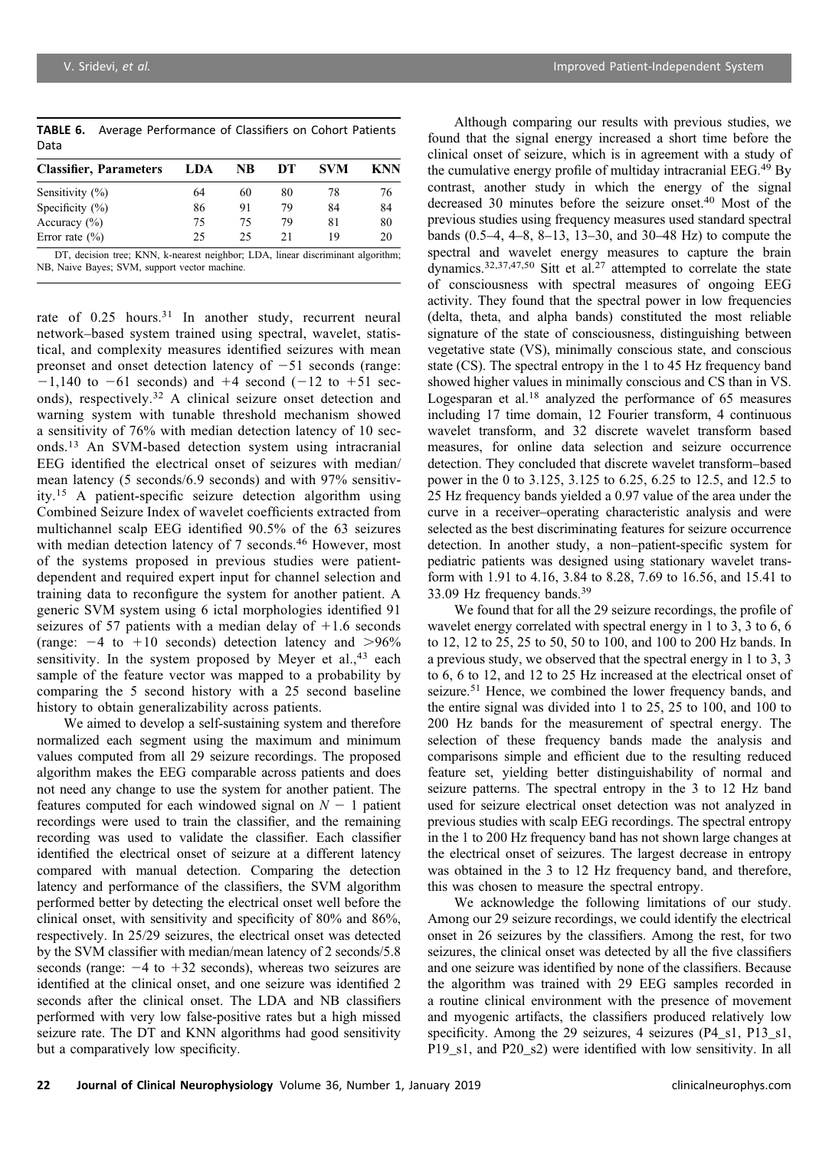|      | <b>TABLE 6.</b> Average Performance of Classifiers on Cohort Patients |
|------|-----------------------------------------------------------------------|
| Data |                                                                       |

| <b>Classifier, Parameters</b> | LDA | NB | DТ | <b>SVM</b> | KNN |
|-------------------------------|-----|----|----|------------|-----|
| Sensitivity $(\%)$            | 64  | 60 | 80 | 78         | 76  |
| Specificity $(\%)$            | 86  | 91 | 79 | 84         | 84  |
| Accuracy $(\% )$              | 75  | 75 | 79 | 81         | 80  |
| Error rate $(\% )$            | 25  | 25 | 21 | 19         | 20  |

DT, decision tree; KNN, k-nearest neighbor; LDA, linear discriminant algorithm; NB, Naive Bayes; SVM, support vector machine.

rate of 0.25 hours.<sup>31</sup> In another study, recurrent neural network–based system trained using spectral, wavelet, statistical, and complexity measures identified seizures with mean preonset and onset detection latency of  $-51$  seconds (range:  $-1,140$  to  $-61$  seconds) and  $+4$  second ( $-12$  to  $+51$  seconds), respectively.<sup>32</sup> A clinical seizure onset detection and warning system with tunable threshold mechanism showed a sensitivity of 76% with median detection latency of 10 seconds.<sup>13</sup> An SVM-based detection system using intracranial EEG identified the electrical onset of seizures with median/ mean latency (5 seconds/6.9 seconds) and with 97% sensitivity.<sup>15</sup> A patient-specific seizure detection algorithm using Combined Seizure Index of wavelet coefficients extracted from multichannel scalp EEG identified 90.5% of the 63 seizures with median detection latency of 7 seconds.<sup>46</sup> However, most of the systems proposed in previous studies were patientdependent and required expert input for channel selection and training data to reconfigure the system for another patient. A generic SVM system using 6 ictal morphologies identified 91 seizures of 57 patients with a median delay of  $+1.6$  seconds (range:  $-4$  to  $+10$  seconds) detection latency and  $>96\%$ sensitivity. In the system proposed by Meyer et al., $43$  each sample of the feature vector was mapped to a probability by comparing the 5 second history with a 25 second baseline history to obtain generalizability across patients.

We aimed to develop a self-sustaining system and therefore normalized each segment using the maximum and minimum values computed from all 29 seizure recordings. The proposed algorithm makes the EEG comparable across patients and does not need any change to use the system for another patient. The features computed for each windowed signal on  $N - 1$  patient recordings were used to train the classifier, and the remaining recording was used to validate the classifier. Each classifier identified the electrical onset of seizure at a different latency compared with manual detection. Comparing the detection latency and performance of the classifiers, the SVM algorithm performed better by detecting the electrical onset well before the clinical onset, with sensitivity and specificity of 80% and 86%, respectively. In 25/29 seizures, the electrical onset was detected by the SVM classifier with median/mean latency of 2 seconds/5.8 seconds (range:  $-4$  to  $+32$  seconds), whereas two seizures are identified at the clinical onset, and one seizure was identified 2 seconds after the clinical onset. The LDA and NB classifiers performed with very low false-positive rates but a high missed seizure rate. The DT and KNN algorithms had good sensitivity but a comparatively low specificity.

Although comparing our results with previous studies, we found that the signal energy increased a short time before the clinical onset of seizure, which is in agreement with a study of the cumulative energy profile of multiday intracranial EEG.<sup>49</sup> By contrast, another study in which the energy of the signal decreased 30 minutes before the seizure onset.<sup>40</sup> Most of the previous studies using frequency measures used standard spectral bands (0.5–4, 4–8, 8–13, 13–30, and 30–48 Hz) to compute the spectral and wavelet energy measures to capture the brain dynamics.<sup>32,37,47,50</sup> Sitt et al.<sup>27</sup> attempted to correlate the state of consciousness with spectral measures of ongoing EEG activity. They found that the spectral power in low frequencies (delta, theta, and alpha bands) constituted the most reliable signature of the state of consciousness, distinguishing between vegetative state (VS), minimally conscious state, and conscious state (CS). The spectral entropy in the 1 to 45 Hz frequency band showed higher values in minimally conscious and CS than in VS. Logesparan et al.<sup>18</sup> analyzed the performance of 65 measures including 17 time domain, 12 Fourier transform, 4 continuous wavelet transform, and 32 discrete wavelet transform based measures, for online data selection and seizure occurrence detection. They concluded that discrete wavelet transform–based power in the 0 to 3.125, 3.125 to 6.25, 6.25 to 12.5, and 12.5 to 25 Hz frequency bands yielded a 0.97 value of the area under the curve in a receiver–operating characteristic analysis and were selected as the best discriminating features for seizure occurrence detection. In another study, a non–patient-specific system for pediatric patients was designed using stationary wavelet transform with 1.91 to 4.16, 3.84 to 8.28, 7.69 to 16.56, and 15.41 to 33.09 Hz frequency bands.39

We found that for all the 29 seizure recordings, the profile of wavelet energy correlated with spectral energy in 1 to 3, 3 to 6, 6 to 12, 12 to 25, 25 to 50, 50 to 100, and 100 to 200 Hz bands. In a previous study, we observed that the spectral energy in 1 to 3, 3 to 6, 6 to 12, and 12 to 25 Hz increased at the electrical onset of seizure.<sup>51</sup> Hence, we combined the lower frequency bands, and the entire signal was divided into 1 to 25, 25 to 100, and 100 to 200 Hz bands for the measurement of spectral energy. The selection of these frequency bands made the analysis and comparisons simple and efficient due to the resulting reduced feature set, yielding better distinguishability of normal and seizure patterns. The spectral entropy in the 3 to 12 Hz band used for seizure electrical onset detection was not analyzed in previous studies with scalp EEG recordings. The spectral entropy in the 1 to 200 Hz frequency band has not shown large changes at the electrical onset of seizures. The largest decrease in entropy was obtained in the 3 to 12 Hz frequency band, and therefore, this was chosen to measure the spectral entropy.

We acknowledge the following limitations of our study. Among our 29 seizure recordings, we could identify the electrical onset in 26 seizures by the classifiers. Among the rest, for two seizures, the clinical onset was detected by all the five classifiers and one seizure was identified by none of the classifiers. Because the algorithm was trained with 29 EEG samples recorded in a routine clinical environment with the presence of movement and myogenic artifacts, the classifiers produced relatively low specificity. Among the 29 seizures, 4 seizures (P4\_s1, P13\_s1, P19\_s1, and P20\_s2) were identified with low sensitivity. In all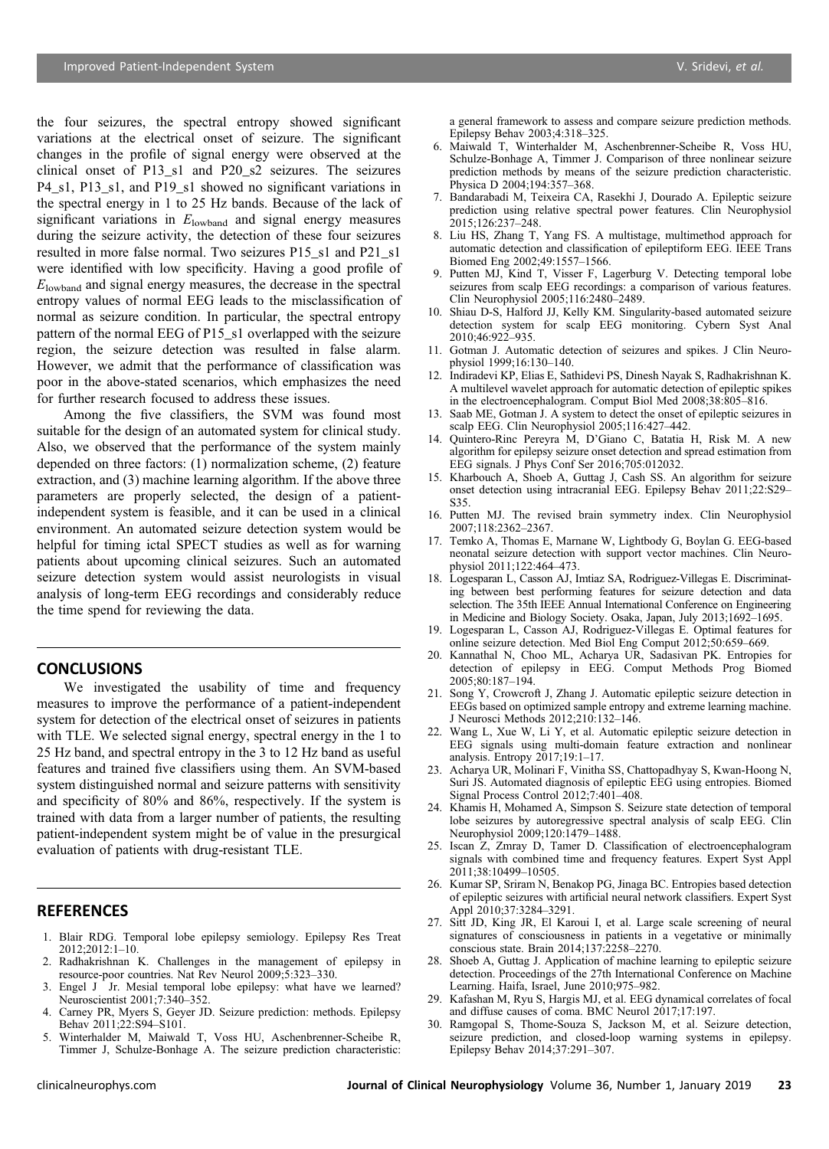the four seizures, the spectral entropy showed significant variations at the electrical onset of seizure. The significant changes in the profile of signal energy were observed at the clinical onset of P13\_s1 and P20\_s2 seizures. The seizures P4\_s1, P13\_s1, and P19\_s1 showed no significant variations in the spectral energy in 1 to 25 Hz bands. Because of the lack of significant variations in  $E_{\text{lowband}}$  and signal energy measures during the seizure activity, the detection of these four seizures resulted in more false normal. Two seizures P15\_s1 and P21\_s1 were identified with low specificity. Having a good profile of  $E<sub>lowband</sub>$  and signal energy measures, the decrease in the spectral entropy values of normal EEG leads to the misclassification of normal as seizure condition. In particular, the spectral entropy pattern of the normal EEG of P15\_s1 overlapped with the seizure region, the seizure detection was resulted in false alarm. However, we admit that the performance of classification was poor in the above-stated scenarios, which emphasizes the need for further research focused to address these issues.

Among the five classifiers, the SVM was found most suitable for the design of an automated system for clinical study. Also, we observed that the performance of the system mainly depended on three factors: (1) normalization scheme, (2) feature extraction, and (3) machine learning algorithm. If the above three parameters are properly selected, the design of a patientindependent system is feasible, and it can be used in a clinical environment. An automated seizure detection system would be helpful for timing ictal SPECT studies as well as for warning patients about upcoming clinical seizures. Such an automated seizure detection system would assist neurologists in visual analysis of long-term EEG recordings and considerably reduce the time spend for reviewing the data.

## **CONCLUSIONS**

We investigated the usability of time and frequency measures to improve the performance of a patient-independent system for detection of the electrical onset of seizures in patients with TLE. We selected signal energy, spectral energy in the 1 to 25 Hz band, and spectral entropy in the 3 to 12 Hz band as useful features and trained five classifiers using them. An SVM-based system distinguished normal and seizure patterns with sensitivity and specificity of 80% and 86%, respectively. If the system is trained with data from a larger number of patients, the resulting patient-independent system might be of value in the presurgical evaluation of patients with drug-resistant TLE.

## **REFERENCES**

- 1. Blair RDG. Temporal lobe epilepsy semiology. Epilepsy Res Treat 2012;2012:1–10.
- 2. Radhakrishnan K. Challenges in the management of epilepsy in resource-poor countries. Nat Rev Neurol 2009;5:323–330.
- 3. Engel J Jr. Mesial temporal lobe epilepsy: what have we learned? Neuroscientist 2001;7:340–352.
- 4. Carney PR, Myers S, Geyer JD. Seizure prediction: methods. Epilepsy Behav 2011;22:S94–S101.
- 5. Winterhalder M, Maiwald T, Voss HU, Aschenbrenner-Scheibe R, Timmer J, Schulze-Bonhage A. The seizure prediction characteristic:

a general framework to assess and compare seizure prediction methods. Epilepsy Behav 2003;4:318–325.

- 6. Maiwald T, Winterhalder M, Aschenbrenner-Scheibe R, Voss HU, Schulze-Bonhage A, Timmer J. Comparison of three nonlinear seizure prediction methods by means of the seizure prediction characteristic. Physica D 2004;194:357–368.
- 7. Bandarabadi M, Teixeira CA, Rasekhi J, Dourado A. Epileptic seizure prediction using relative spectral power features. Clin Neurophysiol  $2015:126:237 - 248.$
- 8. Liu HS, Zhang T, Yang FS. A multistage, multimethod approach for automatic detection and classification of epileptiform EEG. IEEE Trans Biomed Eng 2002;49:1557–1566.
- 9. Putten MJ, Kind T, Visser F, Lagerburg V. Detecting temporal lobe seizures from scalp EEG recordings: a comparison of various features. Clin Neurophysiol 2005;116:2480–2489.
- 10. Shiau D-S, Halford JJ, Kelly KM. Singularity-based automated seizure detection system for scalp EEG monitoring. Cybern Syst Anal 2010;46:922–935.
- 11. Gotman J. Automatic detection of seizures and spikes. J Clin Neurophysiol 1999;16:130–140.
- 12. Indiradevi KP, Elias E, Sathidevi PS, Dinesh Nayak S, Radhakrishnan K. A multilevel wavelet approach for automatic detection of epileptic spikes in the electroencephalogram. Comput Biol Med 2008;38:805–816.
- 13. Saab ME, Gotman J. A system to detect the onset of epileptic seizures in scalp EEG. Clin Neurophysiol 2005;116:427–442.
- 14. Quintero-Rinc Pereyra M, D'Giano C, Batatia H, Risk M. A new algorithm for epilepsy seizure onset detection and spread estimation from EEG signals. J Phys Conf Ser 2016;705:012032.
- 15. Kharbouch A, Shoeb A, Guttag J, Cash SS. An algorithm for seizure onset detection using intracranial EEG. Epilepsy Behav 2011;22:S29– S35.
- 16. Putten MJ. The revised brain symmetry index. Clin Neurophysiol 2007;118:2362–2367.
- 17. Temko A, Thomas E, Marnane W, Lightbody G, Boylan G. EEG-based neonatal seizure detection with support vector machines. Clin Neurophysiol 2011;122:464–473.
- 18. Logesparan L, Casson AJ, Imtiaz SA, Rodriguez-Villegas E. Discriminating between best performing features for seizure detection and data selection. The 35th IEEE Annual International Conference on Engineering in Medicine and Biology Society. Osaka, Japan, July 2013;1692–1695.
- 19. Logesparan L, Casson AJ, Rodriguez-Villegas E. Optimal features for online seizure detection. Med Biol Eng Comput 2012;50:659–669.
- 20. Kannathal N, Choo ML, Acharya UR, Sadasivan PK. Entropies for detection of epilepsy in EEG. Comput Methods Prog Biomed 2005;80:187–194.
- 21. Song Y, Crowcroft J, Zhang J. Automatic epileptic seizure detection in EEGs based on optimized sample entropy and extreme learning machine. J Neurosci Methods 2012;210:132–146.
- 22. Wang L, Xue W, Li Y, et al. Automatic epileptic seizure detection in EEG signals using multi-domain feature extraction and nonlinear analysis. Entropy 2017;19:1–17.
- 23. Acharya UR, Molinari F, Vinitha SS, Chattopadhyay S, Kwan-Hoong N, Suri JS. Automated diagnosis of epileptic EEG using entropies. Biomed Signal Process Control 2012;7:401–408.
- 24. Khamis H, Mohamed A, Simpson S. Seizure state detection of temporal lobe seizures by autoregressive spectral analysis of scalp EEG. Clin Neurophysiol 2009;120:1479–1488.
- 25. Iscan Z, Zmray D, Tamer D. Classification of electroencephalogram signals with combined time and frequency features. Expert Syst Appl 2011;38:10499–10505.
- 26. Kumar SP, Sriram N, Benakop PG, Jinaga BC. Entropies based detection of epileptic seizures with artificial neural network classifiers. Expert Syst Appl 2010;37:3284–3291.
- 27. Sitt JD, King JR, El Karoui I, et al. Large scale screening of neural signatures of consciousness in patients in a vegetative or minimally conscious state. Brain 2014;137:2258–2270.
- 28. Shoeb A, Guttag J. Application of machine learning to epileptic seizure detection. Proceedings of the 27th International Conference on Machine Learning. Haifa, Israel, June 2010;975–982.
- 29. Kafashan M, Ryu S, Hargis MJ, et al. EEG dynamical correlates of focal and diffuse causes of coma. BMC Neurol 2017;17:197.
- 30. Ramgopal S, Thome-Souza S, Jackson M, et al. Seizure detection, seizure prediction, and closed-loop warning systems in epilepsy. Epilepsy Behav 2014;37:291–307.